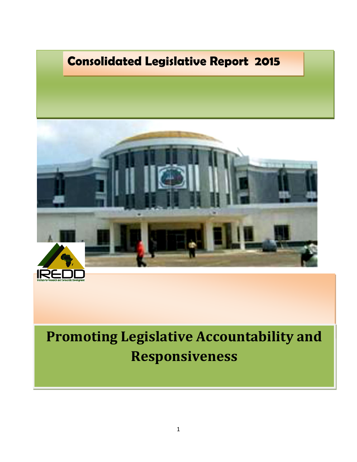

**Consolidated Legislative Report 2015** 

# **Promoting Legislative Accountability and Responsiveness**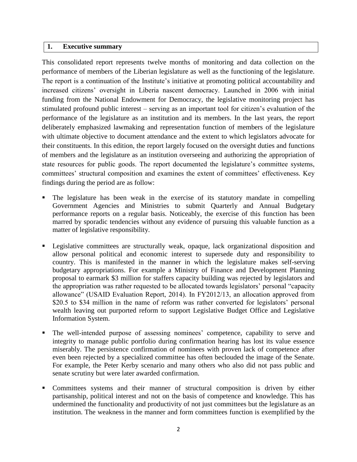## **1. Executive summary**

This consolidated report represents twelve months of monitoring and data collection on the performance of members of the Liberian legislature as well as the functioning of the legislature. The report is a continuation of the Institute's initiative at promoting political accountability and increased citizens' oversight in Liberia nascent democracy. Launched in 2006 with initial funding from the National Endowment for Democracy, the legislative monitoring project has stimulated profound public interest – serving as an important tool for citizen's evaluation of the performance of the legislature as an institution and its members. In the last years, the report deliberately emphasized lawmaking and representation function of members of the legislature with ultimate objective to document attendance and the extent to which legislators advocate for their constituents. In this edition, the report largely focused on the oversight duties and functions of members and the legislature as an institution overseeing and authorizing the appropriation of state resources for public goods. The report documented the legislature's committee systems, committees' structural composition and examines the extent of committees' effectiveness. Key findings during the period are as follow:

- The legislature has been weak in the exercise of its statutory mandate in compelling Government Agencies and Ministries to submit Quarterly and Annual Budgetary performance reports on a regular basis. Noticeably, the exercise of this function has been marred by sporadic tendencies without any evidence of pursuing this valuable function as a matter of legislative responsibility.
- Legislative committees are structurally weak, opaque, lack organizational disposition and allow personal political and economic interest to supersede duty and responsibility to country. This is manifested in the manner in which the legislature makes self-serving budgetary appropriations. For example a Ministry of Finance and Development Planning proposal to earmark \$3 million for staffers capacity building was rejected by legislators and the appropriation was rather requested to be allocated towards legislators' personal "capacity allowance" (USAID Evaluation Report, 2014). In FY2012/13, an allocation approved from \$20.5 to \$34 million in the name of reform was rather converted for legislators' personal wealth leaving out purported reform to support Legislative Budget Office and Legislative Information System.
- The well-intended purpose of assessing nominees' competence, capability to serve and integrity to manage public portfolio during confirmation hearing has lost its value essence miserably. The persistence confirmation of nominees with proven lack of competence after even been rejected by a specialized committee has often beclouded the image of the Senate. For example, the Peter Kerby scenario and many others who also did not pass public and senate scrutiny but were later awarded confirmation.
- Committees systems and their manner of structural composition is driven by either partisanship, political interest and not on the basis of competence and knowledge. This has undermined the functionality and productivity of not just committees but the legislature as an institution. The weakness in the manner and form committees function is exemplified by the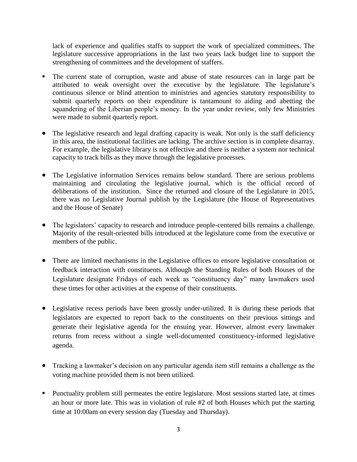lack of experience and qualifies staffs to support the work of specialized committees. The legislature successive appropriations in the last two years lack budget line to support the strengthening of committees and the development of staffers.

- The current state of corruption, waste and abuse of state resources can in large part be attributed to weak oversight over the executive by the legislature. The legislature's continuous silence or blind attention to ministries and agencies statutory responsibility to submit quarterly reports on their expenditure is tantamount to aiding and abetting the squandering of the Liberian people's money. In the year under review, only few Ministries were made to submit quarterly report.
- The legislative research and legal drafting capacity is weak. Not only is the staff deficiency in this area, the institutional facilities are lacking. The archive section is in complete disarray. For example, the legislative library is not effective and there is neither a system nor technical capacity to track bills as they move through the legislative processes.
- The Legislative information Services remains below standard. There are serious problems maintaining and circulating the legislative journal, which is the official record of deliberations of the institution. Since the returned and closure of the Legislature in 2015, there was no Legislative Journal publish by the Legislature (the House of Representatives and the House of Senate)
- The legislators' capacity to research and introduce people-centered bills remains a challenge. Majority of the result-oriented bills introduced at the legislature come from the executive or members of the public.
- There are limited mechanisms in the Legislative offices to ensure legislative consultation or feedback interaction with constituents. Although the Standing Rules of both Houses of the Legislature designate Fridays of each week as "constituency day" many lawmakers used these times for other activities at the expense of their constituents.
- Legislative recess periods have been grossly under-utilized. It is during these periods that legislators are expected to report back to the constituents on their previous sittings and generate their legislative agenda for the ensuing year. However, almost every lawmaker returns from recess without a single well-documented constituency-informed legislative agenda.
- Tracking a lawmaker's decision on any particular agenda item still remains a challenge as the voting machine provided them is not been utilized.
- Punctuality problem still permeates the entire legislature. Most sessions started late, at times an hour or more late. This was in violation of rule #2 of both Houses which put the starting time at 10:00am on every session day (Tuesday and Thursday).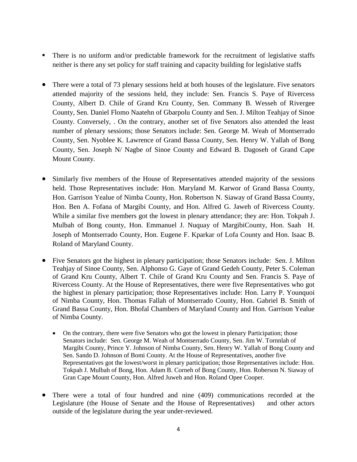- There is no uniform and/or predictable framework for the recruitment of legislative staffs neither is there any set policy for staff training and capacity building for legislative staffs
- There were a total of 73 plenary sessions held at both houses of the legislature. Five senators attended majority of the sessions held, they include: Sen. Francis S. Paye of Rivercess County, Albert D. Chile of Grand Kru County, Sen. Commany B. Wesseh of Rivergee County, Sen. Daniel Flomo Naatehn of Gbarpolu County and Sen. J. Milton Teahjay of Sinoe County. Conversely, . On the contrary, another set of five Senators also attended the least number of plenary sessions; those Senators include: Sen. George M. Weah of Montserrado County, Sen. Nyoblee K. Lawrence of Grand Bassa County, Sen. Henry W. Yallah of Bong County, Sen. Joseph N/ Nagbe of Sinoe County and Edward B. Dagoseh of Grand Cape Mount County.
- Similarly five members of the House of Representatives attended majority of the sessions held. Those Representatives include: Hon. Maryland M. Karwor of Grand Bassa County, Hon. Garrison Yealue of Nimba County, Hon. Robertson N. Siaway of Grand Bassa County, Hon. Ben A. Fofana of Margibi County, and Hon. Alfred G. Jaweh of Rivercess County. While a similar five members got the lowest in plenary attendance; they are: Hon. Tokpah J. Mulbah of Bong county, Hon. Emmanuel J. Nuquay of MargibiCounty, Hon. Saah H. Joseph of Montserrado County, Hon. Eugene F. Kparkar of Lofa County and Hon. Isaac B. Roland of Maryland County.
- Five Senators got the highest in plenary participation; those Senators include: Sen. J. Milton Teahjay of Sinoe County, Sen. Alphonso G. Gaye of Grand Gedeh County, Peter S. Coleman of Grand Kru County, Albert T. Chile of Grand Kru County and Sen. Francis S. Paye of Rivercess County. At the House of Representatives, there were five Representatives who got the highest in plenary participation; those Representatives include: Hon. Larry P. Younquoi of Nimba County, Hon. Thomas Fallah of Montserrado County, Hon. Gabriel B. Smith of Grand Bassa County, Hon. Bhofal Chambers of Maryland County and Hon. Garrison Yealue of Nimba County.
	- On the contrary, there were five Senators who got the lowest in plenary Participation; those Senators include: Sen. George M. Weah of Montserrado County, Sen. Jim W. Tornnlah of Margibi County, Prince Y. Johnson of Nimba County, Sen. Henry W. Yallah of Bong County and Sen. Sando D. Johnson of Bomi County. At the House of Representatives, another five Representatives got the lowest/worst in plenary participation; those Representatives include: Hon. Tokpah J. Mulbah of Bong, Hon. Adam B. Corneh of Bong County, Hon. Roberson N. Siaway of Gran Cape Mount County, Hon. Alfred Juweh and Hon. Roland Opee Cooper.
- There were a total of four hundred and nine (409) communications recorded at the Legislature (the House of Senate and the House of Representatives) and other actors outside of the legislature during the year under-reviewed.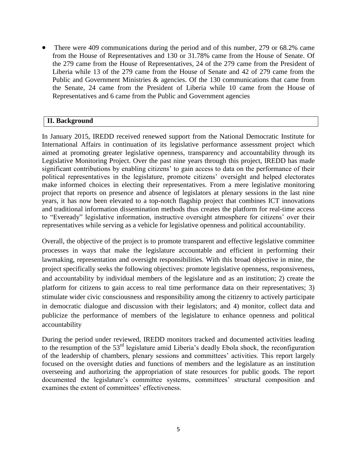There were 409 communications during the period and of this number, 279 or 68.2% came from the House of Representatives and 130 or 31.78% came from the House of Senate. Of the 279 came from the House of Representatives, 24 of the 279 came from the President of Liberia while 13 of the 279 came from the House of Senate and 42 of 279 came from the Public and Government Ministries & agencies. Of the 130 communications that came from the Senate, 24 came from the President of Liberia while 10 came from the House of Representatives and 6 came from the Public and Government agencies

# **II. Background**

In January 2015, IREDD received renewed support from the National Democratic Institute for International Affairs in continuation of its legislative performance assessment project which aimed at promoting greater legislative openness, transparency and accountability through its Legislative Monitoring Project. Over the past nine years through this project, IREDD has made significant contributions by enabling citizens' to gain access to data on the performance of their political representatives in the legislature, promote citizens' oversight and helped electorates make informed choices in electing their representatives. From a mere legislative monitoring project that reports on presence and absence of legislators at plenary sessions in the last nine years, it has now been elevated to a top-notch flagship project that combines ICT innovations and traditional information dissemination methods thus creates the platform for real-time access to "Eveready" legislative information, instructive oversight atmosphere for citizens' over their representatives while serving as a vehicle for legislative openness and political accountability.

Overall, the objective of the project is to promote transparent and effective legislative committee processes in ways that make the legislature accountable and efficient in performing their lawmaking, representation and oversight responsibilities. With this broad objective in mine, the project specifically seeks the following objectives: promote legislative openness, responsiveness, and accountability by individual members of the legislature and as an institution; 2) create the platform for citizens to gain access to real time performance data on their representatives; 3) stimulate wider civic consciousness and responsibility among the citizenry to actively participate in democratic dialogue and discussion with their legislators; and 4) monitor, collect data and publicize the performance of members of the legislature to enhance openness and political accountability

During the period under reviewed, IREDD monitors tracked and documented activities leading to the resumption of the 53<sup>rd</sup> legislature amid Liberia's deadly Ebola shock, the reconfiguration of the leadership of chambers, plenary sessions and committees' activities. This report largely focused on the oversight duties and functions of members and the legislature as an institution overseeing and authorizing the appropriation of state resources for public goods. The report documented the legislature's committee systems, committees' structural composition and examines the extent of committees' effectiveness.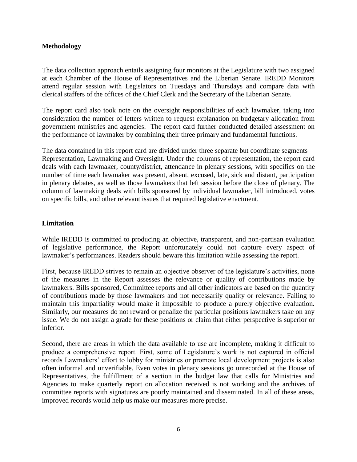## **Methodology**

The data collection approach entails assigning four monitors at the Legislature with two assigned at each Chamber of the House of Representatives and the Liberian Senate. IREDD Monitors attend regular session with Legislators on Tuesdays and Thursdays and compare data with clerical staffers of the offices of the Chief Clerk and the Secretary of the Liberian Senate.

The report card also took note on the oversight responsibilities of each lawmaker, taking into consideration the number of letters written to request explanation on budgetary allocation from government ministries and agencies. The report card further conducted detailed assessment on the performance of lawmaker by combining their three primary and fundamental functions.

The data contained in this report card are divided under three separate but coordinate segments— Representation, Lawmaking and Oversight. Under the columns of representation, the report card deals with each lawmaker, county/district, attendance in plenary sessions, with specifics on the number of time each lawmaker was present, absent, excused, late, sick and distant, participation in plenary debates, as well as those lawmakers that left session before the close of plenary. The column of lawmaking deals with bills sponsored by individual lawmaker, bill introduced, votes on specific bills, and other relevant issues that required legislative enactment.

## **Limitation**

While IREDD is committed to producing an objective, transparent, and non-partisan evaluation of legislative performance, the Report unfortunately could not capture every aspect of lawmaker's performances. Readers should beware this limitation while assessing the report.

First, because IREDD strives to remain an objective observer of the legislature's activities, none of the measures in the Report assesses the relevance or quality of contributions made by lawmakers. Bills sponsored, Committee reports and all other indicators are based on the quantity of contributions made by those lawmakers and not necessarily quality or relevance. Failing to maintain this impartiality would make it impossible to produce a purely objective evaluation. Similarly, our measures do not reward or penalize the particular positions lawmakers take on any issue. We do not assign a grade for these positions or claim that either perspective is superior or inferior.

Second, there are areas in which the data available to use are incomplete, making it difficult to produce a comprehensive report. First, some of Legislature's work is not captured in official records Lawmakers' effort to lobby for ministries or promote local development projects is also often informal and unverifiable. Even votes in plenary sessions go unrecorded at the House of Representatives, the fulfillment of a section in the budget law that calls for Ministries and Agencies to make quarterly report on allocation received is not working and the archives of committee reports with signatures are poorly maintained and disseminated. In all of these areas, improved records would help us make our measures more precise.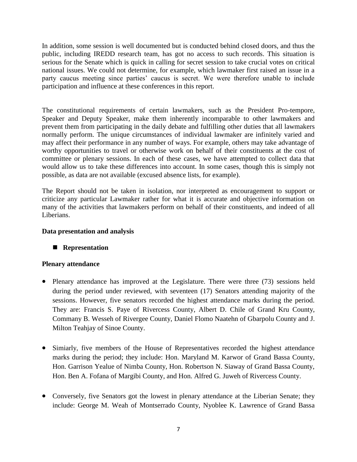In addition, some session is well documented but is conducted behind closed doors, and thus the public, including IREDD research team, has got no access to such records. This situation is serious for the Senate which is quick in calling for secret session to take crucial votes on critical national issues. We could not determine, for example, which lawmaker first raised an issue in a party caucus meeting since parties' caucus is secret. We were therefore unable to include participation and influence at these conferences in this report.

The constitutional requirements of certain lawmakers, such as the President Pro-tempore, Speaker and Deputy Speaker, make them inherently incomparable to other lawmakers and prevent them from participating in the daily debate and fulfilling other duties that all lawmakers normally perform. The unique circumstances of individual lawmaker are infinitely varied and may affect their performance in any number of ways. For example, others may take advantage of worthy opportunities to travel or otherwise work on behalf of their constituents at the cost of committee or plenary sessions. In each of these cases, we have attempted to collect data that would allow us to take these differences into account. In some cases, though this is simply not possible, as data are not available (excused absence lists, for example).

The Report should not be taken in isolation, nor interpreted as encouragement to support or criticize any particular Lawmaker rather for what it is accurate and objective information on many of the activities that lawmakers perform on behalf of their constituents, and indeed of all Liberians.

## **Data presentation and analysis**

# **Representation**

## **Plenary attendance**

- Plenary attendance has improved at the Legislature. There were three (73) sessions held during the period under reviewed, with seventeen (17) Senators attending majority of the sessions. However, five senators recorded the highest attendance marks during the period. They are: Francis S. Paye of Rivercess County, Albert D. Chile of Grand Kru County, Commany B. Wesseh of Rivergee County, Daniel Flomo Naatehn of Gbarpolu County and J. Milton Teahjay of Sinoe County.
- Simiarly, five members of the House of Representatives recorded the highest attendance marks during the period; they include: Hon. Maryland M. Karwor of Grand Bassa County, Hon. Garrison Yealue of Nimba County, Hon. Robertson N. Siaway of Grand Bassa County, Hon. Ben A. Fofana of Margibi County, and Hon. Alfred G. Juweh of Rivercess County.
- Conversely, five Senators got the lowest in plenary attendance at the Liberian Senate; they include: George M. Weah of Montserrado County, Nyoblee K. Lawrence of Grand Bassa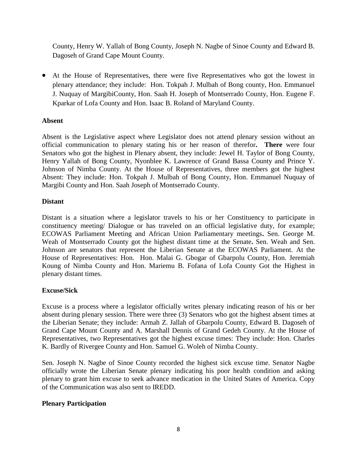County, Henry W. Yallah of Bong County, Joseph N. Nagbe of Sinoe County and Edward B. Dagoseh of Grand Cape Mount County.

 At the House of Representatives, there were five Representatives who got the lowest in plenary attendance; they include: Hon. Tokpah J. Mulbah of Bong county, Hon. Emmanuel J. Nuquay of MargibiCounty, Hon. Saah H. Joseph of Montserrado County, Hon. Eugene F. Kparkar of Lofa County and Hon. Isaac B. Roland of Maryland County.

# **Absent**

Absent is the Legislative aspect where Legislator does not attend plenary session without an official communication to plenary stating his or her reason of therefor**. There** were four Senators who got the highest in Plenary absent, they include: Jewel H. Taylor of Bong County, Henry Yallah of Bong County, Nyonblee K. Lawrence of Grand Bassa County and Prince Y. Johnson of Nimba County. At the House of Representatives, three members got the highest Absent: They include: Hon. Tokpah J. Mulbah of Bong County, Hon. Emmanuel Nuquay of Margibi County and Hon. Saah Joseph of Montserrado County.

# **Distant**

Distant is a situation where a legislator travels to his or her Constituency to participate in constituency meeting/ Dialogue or has traveled on an official legislative duty, for example; ECOWAS Parliament Meeting and African Union Parliamentary meetings**.** Sen. George M. Weah of Montserrado County got the highest distant time at the Senate**.** Sen. Weah and Sen. Johnson are senators that represent the Liberian Senate at the ECOWAS Parliament. At the House of Representatives: Hon. Hon. Malai G. Gbogar of Gbarpolu County, Hon. Jeremiah Koung of Nimba County and Hon. Mariemu B. Fofana of Lofa County Got the Highest in plenary distant times.

# **Excuse/Sick**

Excuse is a process where a legislator officially writes plenary indicating reason of his or her absent during plenary session. There were three (3) Senators who got the highest absent times at the Liberian Senate; they include: Armah Z. Jallah of Gbarpolu County, Edward B. Dagoseh of Grand Cape Mount County and A. Marshall Dennis of Grand Gedeh County. At the House of Representatives, two Representatives got the highest excuse times: They include: Hon. Charles K. Bardly of Rivergee County and Hon. Samuel G. Woleh of Nimba County.

Sen. Joseph N. Nagbe of Sinoe County recorded the highest sick excuse time. Senator Nagbe officially wrote the Liberian Senate plenary indicating his poor health condition and asking plenary to grant him excuse to seek advance medication in the United States of America. Copy of the Communication was also sent to IREDD.

# **Plenary Participation**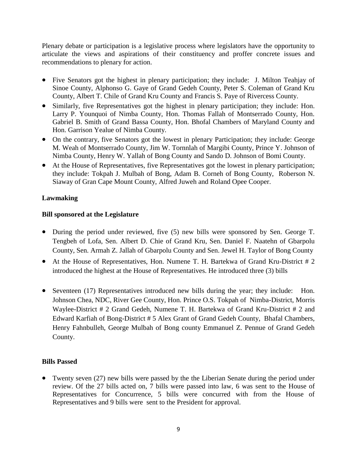Plenary debate or participation is a legislative process where legislators have the opportunity to articulate the views and aspirations of their constituency and proffer concrete issues and recommendations to plenary for action.

- Five Senators got the highest in plenary participation; they include: J. Milton Teahjay of Sinoe County, Alphonso G. Gaye of Grand Gedeh County, Peter S. Coleman of Grand Kru County, Albert T. Chile of Grand Kru County and Francis S. Paye of Rivercess County.
- Similarly, five Representatives got the highest in plenary participation; they include: Hon. Larry P. Younquoi of Nimba County, Hon. Thomas Fallah of Montserrado County, Hon. Gabriel B. Smith of Grand Bassa County, Hon. Bhofal Chambers of Maryland County and Hon. Garrison Yealue of Nimba County.
- On the contrary, five Senators got the lowest in plenary Participation; they include: George M. Weah of Montserrado County, Jim W. Tornnlah of Margibi County, Prince Y. Johnson of Nimba County, Henry W. Yallah of Bong County and Sando D. Johnson of Bomi County.
- At the House of Representatives, five Representatives got the lowest in plenary participation; they include: Tokpah J. Mulbah of Bong, Adam B. Corneh of Bong County, Roberson N. Siaway of Gran Cape Mount County, Alfred Juweh and Roland Opee Cooper.

# **Lawmaking**

# **Bill sponsored at the Legislature**

- During the period under reviewed, five (5) new bills were sponsored by Sen. George T. Tengbeh of Lofa, Sen. Albert D. Chie of Grand Kru, Sen. Daniel F. Naatehn of Gbarpolu County, Sen. Armah Z. Jallah of Gbarpolu County and Sen. Jewel H. Taylor of Bong County
- At the House of Representatives, Hon. Numene T. H. Bartekwa of Grand Kru-District # 2 introduced the highest at the House of Representatives. He introduced three (3) bills
- Seventeen (17) Representatives introduced new bills during the year; they include: Hon. Johnson Chea, NDC, River Gee County, Hon. Prince O.S. Tokpah of Nimba-District, Morris Waylee-District # 2 Grand Gedeh, Numene T. H. Bartekwa of Grand Kru-District # 2 and Edward Karfiah of Bong-District # 5 Alex Grant of Grand Gedeh County, Bhafal Chambers, Henry Fahnbulleh, George Mulbah of Bong county Emmanuel Z. Pennue of Grand Gedeh County.

# **Bills Passed**

 Twenty seven (27) new bills were passed by the the Liberian Senate during the period under review. Of the 27 bills acted on, 7 bills were passed into law, 6 was sent to the House of Representatives for Concurrence, 5 bills were concurred with from the House of Representatives and 9 bills were sent to the President for approval.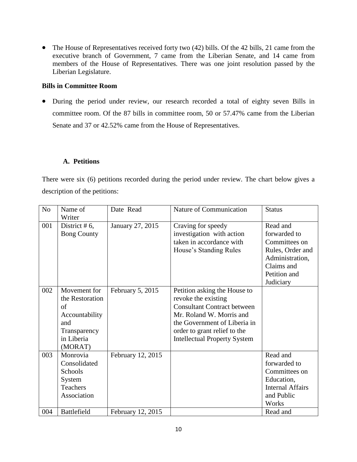• The House of Representatives received forty two (42) bills. Of the 42 bills, 21 came from the executive branch of Government, 7 came from the Liberian Senate, and 14 came from members of the House of Representatives. There was one joint resolution passed by the Liberian Legislature.

## **Bills in Committee Room**

 During the period under review, our research recorded a total of eighty seven Bills in committee room. Of the 87 bills in committee room, 50 or 57.47% came from the Liberian Senate and 37 or 42.52% came from the House of Representatives.

#### **A. Petitions**

There were six (6) petitions recorded during the period under review. The chart below gives a description of the petitions:

| N <sub>o</sub> | Name of<br>Writer                                                                                       | Date Read         | Nature of Communication                                                                                                                                                                                                      | <b>Status</b>                                                                                                               |
|----------------|---------------------------------------------------------------------------------------------------------|-------------------|------------------------------------------------------------------------------------------------------------------------------------------------------------------------------------------------------------------------------|-----------------------------------------------------------------------------------------------------------------------------|
| 001            | District # $6$ ,<br><b>Bong County</b>                                                                  | January 27, 2015  | Craving for speedy<br>investigation with action<br>taken in accordance with<br>House's Standing Rules                                                                                                                        | Read and<br>forwarded to<br>Committees on<br>Rules, Order and<br>Administration,<br>Claims and<br>Petition and<br>Judiciary |
| 002            | Movement for<br>the Restoration<br>of<br>Accountability<br>and<br>Transparency<br>in Liberia<br>(MORAT) | February 5, 2015  | Petition asking the House to<br>revoke the existing<br><b>Consultant Contract between</b><br>Mr. Roland W. Morris and<br>the Government of Liberia in<br>order to grant relief to the<br><b>Intellectual Property System</b> |                                                                                                                             |
| 003            | Monrovia<br>Consolidated<br>Schools<br>System<br>Teachers<br>Association                                | February 12, 2015 |                                                                                                                                                                                                                              | Read and<br>forwarded to<br>Committees on<br>Education,<br><b>Internal Affairs</b><br>and Public<br>Works                   |
| 004            | Battlefield                                                                                             | February 12, 2015 |                                                                                                                                                                                                                              | Read and                                                                                                                    |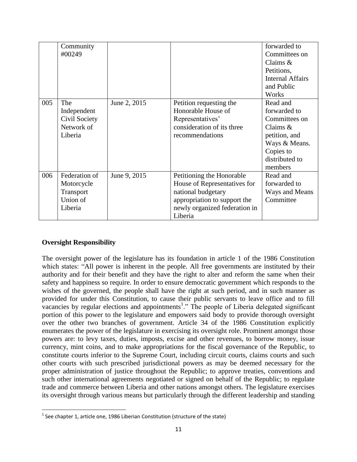|     | Community<br>#00249                                             |              |                                                                                                                                                             | forwarded to<br>Committees on<br>Claims $&$<br>Petitions,<br><b>Internal Affairs</b><br>and Public<br>Works                         |
|-----|-----------------------------------------------------------------|--------------|-------------------------------------------------------------------------------------------------------------------------------------------------------------|-------------------------------------------------------------------------------------------------------------------------------------|
| 005 | The<br>Independent<br>Civil Society<br>Network of<br>Liberia    | June 2, 2015 | Petition requesting the<br>Honorable House of<br>Representatives'<br>consideration of its three<br>recommendations                                          | Read and<br>forwarded to<br>Committees on<br>Claims $&$<br>petition, and<br>Ways & Means.<br>Copies to<br>distributed to<br>members |
| 006 | Federation of<br>Motorcycle<br>Transport<br>Union of<br>Liberia | June 9, 2015 | Petitioning the Honorable<br>House of Representatives for<br>national budgetary<br>appropriation to support the<br>newly organized federation in<br>Liberia | Read and<br>forwarded to<br>Ways and Means<br>Committee                                                                             |

## **Oversight Responsibility**

 $\overline{\phantom{a}}$ 

The oversight power of the legislature has its foundation in article 1 of the 1986 Constitution which states: "All power is inherent in the people. All free governments are instituted by their authority and for their benefit and they have the right to alter and reform the same when their safety and happiness so require. In order to ensure democratic government which responds to the wishes of the governed, the people shall have the right at such period, and in such manner as provided for under this Constitution, to cause their public servants to leave office and to fill vacancies by regular elections and appointments<sup>1</sup>." The people of Liberia delegated significant portion of this power to the legislature and empowers said body to provide thorough oversight over the other two branches of government. Article 34 of the 1986 Constitution explicitly enumerates the power of the legislature in exercising its oversight role. Prominent amongst those powers are: to levy taxes, duties, imposts, excise and other revenues, to borrow money, issue currency, mint coins, and to make appropriations for the fiscal governance of the Republic, to constitute courts inferior to the Supreme Court, including circuit courts, claims courts and such other courts with such prescribed jurisdictional powers as may be deemed necessary for the proper administration of justice throughout the Republic; to approve treaties, conventions and such other international agreements negotiated or signed on behalf of the Republic; to regulate trade and commerce between Liberia and other nations amongst others. The legislature exercises its oversight through various means but particularly through the different leadership and standing

 $^{\text{1}}$  See chapter 1, article one, 1986 Liberian Constitution (structure of the state)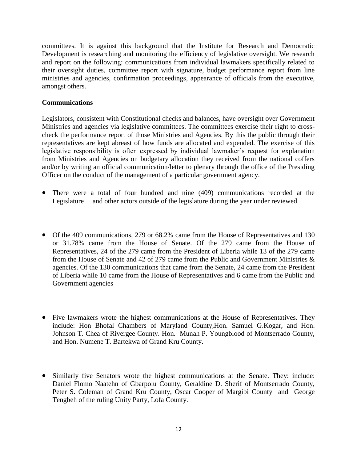committees. It is against this background that the Institute for Research and Democratic Development is researching and monitoring the efficiency of legislative oversight. We research and report on the following: communications from individual lawmakers specifically related to their oversight duties, committee report with signature, budget performance report from line ministries and agencies, confirmation proceedings, appearance of officials from the executive, amongst others.

## **Communications**

Legislators, consistent with Constitutional checks and balances, have oversight over Government Ministries and agencies via legislative committees. The committees exercise their right to crosscheck the performance report of those Ministries and Agencies. By this the public through their representatives are kept abreast of how funds are allocated and expended. The exercise of this legislative responsibility is often expressed by individual lawmaker's request for explanation from Ministries and Agencies on budgetary allocation they received from the national coffers and/or by writing an official communication/letter to plenary through the office of the Presiding Officer on the conduct of the management of a particular government agency.

- There were a total of four hundred and nine (409) communications recorded at the Legislature and other actors outside of the legislature during the year under reviewed.
- Of the 409 communications, 279 or 68.2% came from the House of Representatives and 130 or 31.78% came from the House of Senate. Of the 279 came from the House of Representatives, 24 of the 279 came from the President of Liberia while 13 of the 279 came from the House of Senate and 42 of 279 came from the Public and Government Ministries  $\&$ agencies. Of the 130 communications that came from the Senate, 24 came from the President of Liberia while 10 came from the House of Representatives and 6 came from the Public and Government agencies
- Five lawmakers wrote the highest communications at the House of Representatives. They include: Hon Bhofal Chambers of Maryland County,Hon. Samuel G.Kogar, and Hon. Johnson T. Chea of Rivergee County. Hon. Munah P. Youngblood of Montserrado County, and Hon. Numene T. Bartekwa of Grand Kru County.
- Similarly five Senators wrote the highest communications at the Senate. They: include: Daniel Flomo Naatehn of Gbarpolu County, Geraldine D. Sherif of Montserrado County, Peter S. Coleman of Grand Kru County, Oscar Cooper of Margibi County and George Tengbeh of the ruling Unity Party, Lofa County.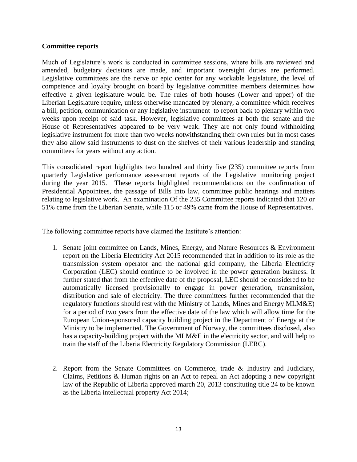#### **Committee reports**

Much of Legislature's work is conducted in committee sessions, where bills are reviewed and amended, budgetary decisions are made, and important oversight duties are performed. Legislative committees are the nerve or epic center for any workable legislature, the level of competence and loyalty brought on board by legislative committee members determines how effective a given legislature would be. The rules of both houses (Lower and upper) of the Liberian Legislature require, unless otherwise mandated by plenary, a committee which receives a bill, petition, communication or any legislative instrument to report back to plenary within two weeks upon receipt of said task. However, legislative committees at both the senate and the House of Representatives appeared to be very weak. They are not only found withholding legislative instrument for more than two weeks notwithstanding their own rules but in most cases they also allow said instruments to dust on the shelves of their various leadership and standing committees for years without any action.

This consolidated report highlights two hundred and thirty five (235) committee reports from quarterly Legislative performance assessment reports of the Legislative monitoring project during the year 2015. These reports highlighted recommendations on the confirmation of Presidential Appointees, the passage of Bills into law, committee public hearings and matters relating to legislative work. An examination Of the 235 Committee reports indicated that 120 or 51% came from the Liberian Senate, while 115 or 49% came from the House of Representatives.

The following committee reports have claimed the Institute's attention:

- 1. Senate joint committee on Lands, Mines, Energy, and Nature Resources & Environment report on the Liberia Electricity Act 2015 recommended that in addition to its role as the transmission system operator and the national grid company, the Liberia Electricity Corporation (LEC) should continue to be involved in the power generation business. It further stated that from the effective date of the proposal, LEC should be considered to be automatically licensed provisionally to engage in power generation, transmission, distribution and sale of electricity. The three committees further recommended that the regulatory functions should rest with the Ministry of Lands, Mines and Energy MLM&E) for a period of two years from the effective date of the law which will allow time for the European Union-sponsored capacity building project in the Department of Energy at the Ministry to be implemented. The Government of Norway, the committees disclosed, also has a capacity-building project with the MLM&E in the electricity sector, and will help to train the staff of the Liberia Electricity Regulatory Commission (LERC).
- 2. Report from the Senate Committees on Commerce, trade & Industry and Judiciary, Claims, Petitions & Human rights on an Act to repeal an Act adopting a new copyright law of the Republic of Liberia approved march 20, 2013 constituting title 24 to be known as the Liberia intellectual property Act 2014;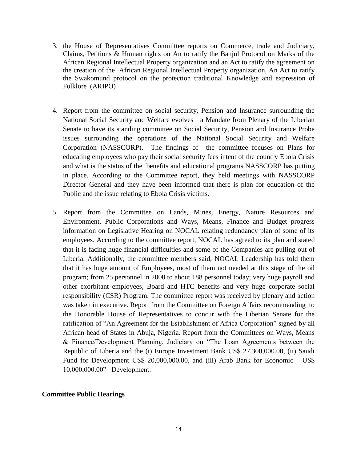- 3. the House of Representatives Committee reports on Commerce, trade and Judiciary, Claims, Petitions & Human rights on An to ratify the Banjul Protocol on Marks of the African Regional Intellectual Property organization and an Act to ratify the agreement on the creation of the African Regional Intellectual Property organization, An Act to ratify the Swakomund protocol on the protection traditional Knowledge and expression of Folklore (ARIPO)
- 4. Report from the committee on social security, Pension and Insurance surrounding the National Social Security and Welfare evolves a Mandate from Plenary of the Liberian Senate to have its standing committee on Social Security, Pension and Insurance Probe issues surrounding the operations of the National Social Security and Welfare Corporation (NASSCORP). The findings of the committee focuses on Plans for educating employees who pay their social security fees intent of the country Ebola Crisis and what is the status of the benefits and educational programs NASSCORP has putting in place. According to the Committee report, they held meetings with NASSCORP Director General and they have been informed that there is plan for education of the Public and the issue relating to Ebola Crisis victims.
- 5. Report from the Committee on Lands, Mines, Energy, Nature Resources and Environment, Public Corporations and Ways, Means, Finance and Budget progress information on Legislative Hearing on NOCAL relating redundancy plan of some of its employees. According to the committee report, NOCAL has agreed to its plan and stated that it is facing huge financial difficulties and some of the Companies are pulling out of Liberia. Additionally, the committee members said, NOCAL Leadership has told them that it has huge amount of Employees, most of them not needed at this stage of the oil program; from 25 personnel in 2008 to about 188 personnel today; very huge payroll and other exorbitant employees, Board and HTC benefits and very huge corporate social responsibility (CSR) Program. The committee report was received by plenary and action was taken in executive. Report from the Committee on Foreign Affairs recommending to the Honorable House of Representatives to concur with the Liberian Senate for the ratification of "An Agreement for the Establishment of Africa Corporation" signed by all African head of States in Abuja, Nigeria. Report from the Committees on Ways, Means & Finance/Development Planning, Judiciary on "The Loan Agreements between the Republic of Liberia and the (i) Europe Investment Bank US\$ 27,300,000.00, (ii) Saudi Fund for Development US\$ 20,000,000.00, and (iii) Arab Bank for Economic US\$ 10,000,000.00" Development.

#### **Committee Public Hearings**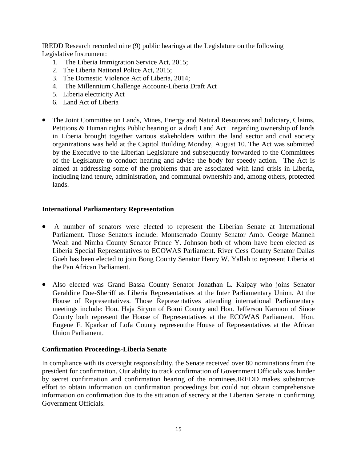IREDD Research recorded nine (9) public hearings at the Legislature on the following Legislative Instrument:

- 1. The Liberia Immigration Service Act, 2015;
- 2. The Liberia National Police Act, 2015;
- 3. The Domestic Violence Act of Liberia, 2014;
- 4. The Millennium Challenge Account-Liberia Draft Act
- 5. Liberia electricity Act
- 6. Land Act of Liberia
- The Joint Committee on Lands, Mines, Energy and Natural Resources and Judiciary, Claims, Petitions & Human rights Public hearing on a draft Land Act regarding ownership of lands in Liberia brought together various stakeholders within the land sector and civil society organizations was held at the Capitol Building Monday, August 10. The Act was submitted by the Executive to the Liberian Legislature and subsequently forwarded to the Committees of the Legislature to conduct hearing and advise the body for speedy action. The Act is aimed at addressing some of the problems that are associated with land crisis in Liberia, including land tenure, administration, and communal ownership and, among others, protected lands.

#### **International Parliamentary Representation**

- A number of senators were elected to represent the Liberian Senate at International Parliament. Those Senators include: Montserrado County Senator Amb. George Manneh Weah and Nimba County Senator Prince Y. Johnson both of whom have been elected as Liberia Special Representatives to ECOWAS Parliament. River Cess County Senator Dallas Gueh has been elected to join Bong County Senator Henry W. Yallah to represent Liberia at the Pan African Parliament.
- Also elected was Grand Bassa County Senator Jonathan L. Kaipay who joins Senator Geraldine Doe-Sheriff as Liberia Representatives at the Inter Parliamentary Union. At the House of Representatives. Those Representatives attending international Parliamentary meetings include: Hon. Haja Siryon of Bomi County and Hon. Jefferson Karmon of Sinoe County both represent the House of Representatives at the ECOWAS Parliament. Hon. Eugene F. Kparkar of Lofa County representthe House of Representatives at the African Union Parliament.

## **Confirmation Proceedings-Liberia Senate**

In compliance with its oversight responsibility, the Senate received over 80 nominations from the president for confirmation. Our ability to track confirmation of Government Officials was hinder by secret confirmation and confirmation hearing of the nominees.IREDD makes substantive effort to obtain information on confirmation proceedings but could not obtain comprehensive information on confirmation due to the situation of secrecy at the Liberian Senate in confirming Government Officials.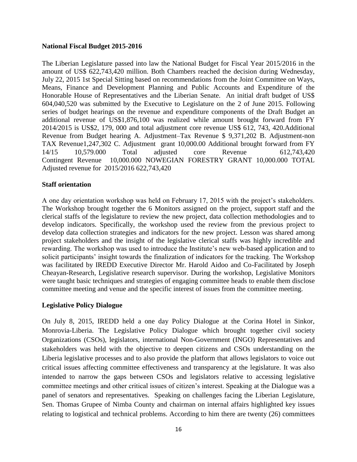#### **National Fiscal Budget 2015-2016**

The Liberian Legislature passed into law the National Budget for Fiscal Year 2015/2016 in the amount of US\$ 622,743,420 million. Both Chambers reached the decision during Wednesday, July 22, 2015 1st Special Sitting based on recommendations from the Joint Committee on Ways, Means, Finance and Development Planning and Public Accounts and Expenditure of the Honorable House of Representatives and the Liberian Senate. An initial draft budget of US\$ 604,040,520 was submitted by the Executive to Legislature on the 2 of June 2015. Following series of budget hearings on the revenue and expenditure components of the Draft Budget an additional revenue of US\$1,876,100 was realized while amount brought forward from FY 2014/2015 is US\$2, 179, 000 and total adjustment core revenue US\$ 612, 743, 420.Additional Revenue from Budget hearing A. Adjustment–Tax Revenue \$ 9,371,202 B. Adjustment-non TAX Revenue1,247,302 C. Adjustment grant 10,000.00 Additional brought forward from FY 14/15 10,579.000 Total adjusted core Revenue 612,743,420 Contingent Revenue 10,000.000 NOWEGIAN FORESTRY GRANT 10,000.000 TOTAL Adjusted revenue for 2015/2016 622,743,420

#### **Staff orientation**

A one day orientation workshop was held on February 17, 2015 with the project's stakeholders. The Workshop brought together the 6 Monitors assigned on the project, support staff and the clerical staffs of the legislature to review the new project, data collection methodologies and to develop indicators. Specifically, the workshop used the review from the previous project to develop data collection strategies and indicators for the new project. Lesson was shared among project stakeholders and the insight of the legislative clerical staffs was highly incredible and rewarding. The workshop was used to introduce the Institute's new web-based application and to solicit participants' insight towards the finalization of indicators for the tracking. The Workshop was facilitated by IREDD Executive Director Mr. Harold Aidoo and Co-Facilitated by Joseph Cheayan-Research, Legislative research supervisor. During the workshop, Legislative Monitors were taught basic techniques and strategies of engaging committee heads to enable them disclose committee meeting and venue and the specific interest of issues from the committee meeting.

## **Legislative Policy Dialogue**

On July 8, 2015, IREDD held a one day Policy Dialogue at the Corina Hotel in Sinkor, Monrovia-Liberia. The Legislative Policy Dialogue which brought together civil society Organizations (CSOs), legislators, international Non-Government (INGO) Representatives and stakeholders was held with the objective to deepen citizens and CSOs understanding on the Liberia legislative processes and to also provide the platform that allows legislators to voice out critical issues affecting committee effectiveness and transparency at the legislature. It was also intended to narrow the gaps between CSOs and legislators relative to accessing legislative committee meetings and other critical issues of citizen's interest. Speaking at the Dialogue was a panel of senators and representatives. Speaking on challenges facing the Liberian Legislature, Sen. Thomas Grupee of Nimba County and chairman on internal affairs highlighted key issues relating to logistical and technical problems. According to him there are twenty (26) committees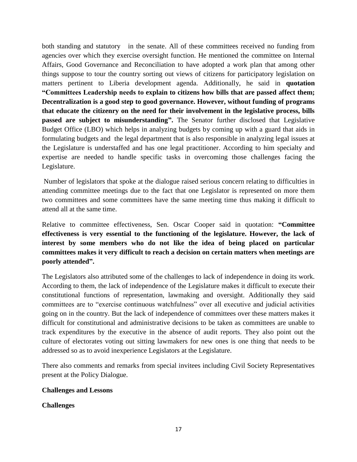both standing and statutory in the senate. All of these committees received no funding from agencies over which they exercise oversight function. He mentioned the committee on Internal Affairs, Good Governance and Reconciliation to have adopted a work plan that among other things suppose to tour the country sorting out views of citizens for participatory legislation on matters pertinent to Liberia development agenda. Additionally, he said in **quotation "Committees Leadership needs to explain to citizens how bills that are passed affect them; Decentralization is a good step to good governance. However, without funding of programs that educate the citizenry on the need for their involvement in the legislative process, bills passed are subject to misunderstanding".** The Senator further disclosed that Legislative Budget Office (LBO) which helps in analyzing budgets by coming up with a guard that aids in formulating budgets and the legal department that is also responsible in analyzing legal issues at the Legislature is understaffed and has one legal practitioner. According to him specialty and expertise are needed to handle specific tasks in overcoming those challenges facing the Legislature.

Number of legislators that spoke at the dialogue raised serious concern relating to difficulties in attending committee meetings due to the fact that one Legislator is represented on more them two committees and some committees have the same meeting time thus making it difficult to attend all at the same time.

Relative to committee effectiveness, Sen. Oscar Cooper said in quotation: **"Committee effectiveness is very essential to the functioning of the legislature. However, the lack of interest by some members who do not like the idea of being placed on particular committees makes it very difficult to reach a decision on certain matters when meetings are poorly attended".**

The Legislators also attributed some of the challenges to lack of independence in doing its work. According to them, the lack of independence of the Legislature makes it difficult to execute their constitutional functions of representation, lawmaking and oversight. Additionally they said committees are to "exercise continuous watchfulness" over all executive and judicial activities going on in the country. But the lack of independence of committees over these matters makes it difficult for constitutional and administrative decisions to be taken as committees are unable to track expenditures by the executive in the absence of audit reports. They also point out the culture of electorates voting out sitting lawmakers for new ones is one thing that needs to be addressed so as to avoid inexperience Legislators at the Legislature.

There also comments and remarks from special invitees including Civil Society Representatives present at the Policy Dialogue.

# **Challenges and Lessons**

# **Challenges**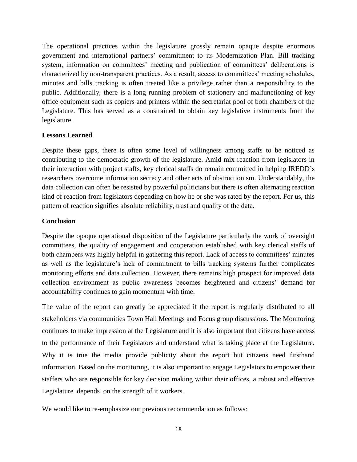The operational practices within the legislature grossly remain opaque despite enormous government and international partners' commitment to its Modernization Plan. Bill tracking system, information on committees' meeting and publication of committees' deliberations is characterized by non-transparent practices. As a result, access to committees' meeting schedules, minutes and bills tracking is often treated like a privilege rather than a responsibility to the public. Additionally, there is a long running problem of stationery and malfunctioning of key office equipment such as copiers and printers within the secretariat pool of both chambers of the Legislature. This has served as a constrained to obtain key legislative instruments from the legislature.

## **Lessons Learned**

Despite these gaps, there is often some level of willingness among staffs to be noticed as contributing to the democratic growth of the legislature. Amid mix reaction from legislators in their interaction with project staffs, key clerical staffs do remain committed in helping IREDD's researchers overcome information secrecy and other acts of obstructionism. Understandably, the data collection can often be resisted by powerful politicians but there is often alternating reaction kind of reaction from legislators depending on how he or she was rated by the report. For us, this pattern of reaction signifies absolute reliability, trust and quality of the data.

# **Conclusion**

Despite the opaque operational disposition of the Legislature particularly the work of oversight committees, the quality of engagement and cooperation established with key clerical staffs of both chambers was highly helpful in gathering this report. Lack of access to committees' minutes as well as the legislature's lack of commitment to bills tracking systems further complicates monitoring efforts and data collection. However, there remains high prospect for improved data collection environment as public awareness becomes heightened and citizens' demand for accountability continues to gain momentum with time.

The value of the report can greatly be appreciated if the report is regularly distributed to all stakeholders via communities Town Hall Meetings and Focus group discussions. The Monitoring continues to make impression at the Legislature and it is also important that citizens have access to the performance of their Legislators and understand what is taking place at the Legislature. Why it is true the media provide publicity about the report but citizens need firsthand information. Based on the monitoring, it is also important to engage Legislators to empower their staffers who are responsible for key decision making within their offices, a robust and effective Legislature depends on the strength of it workers.

We would like to re-emphasize our previous recommendation as follows: